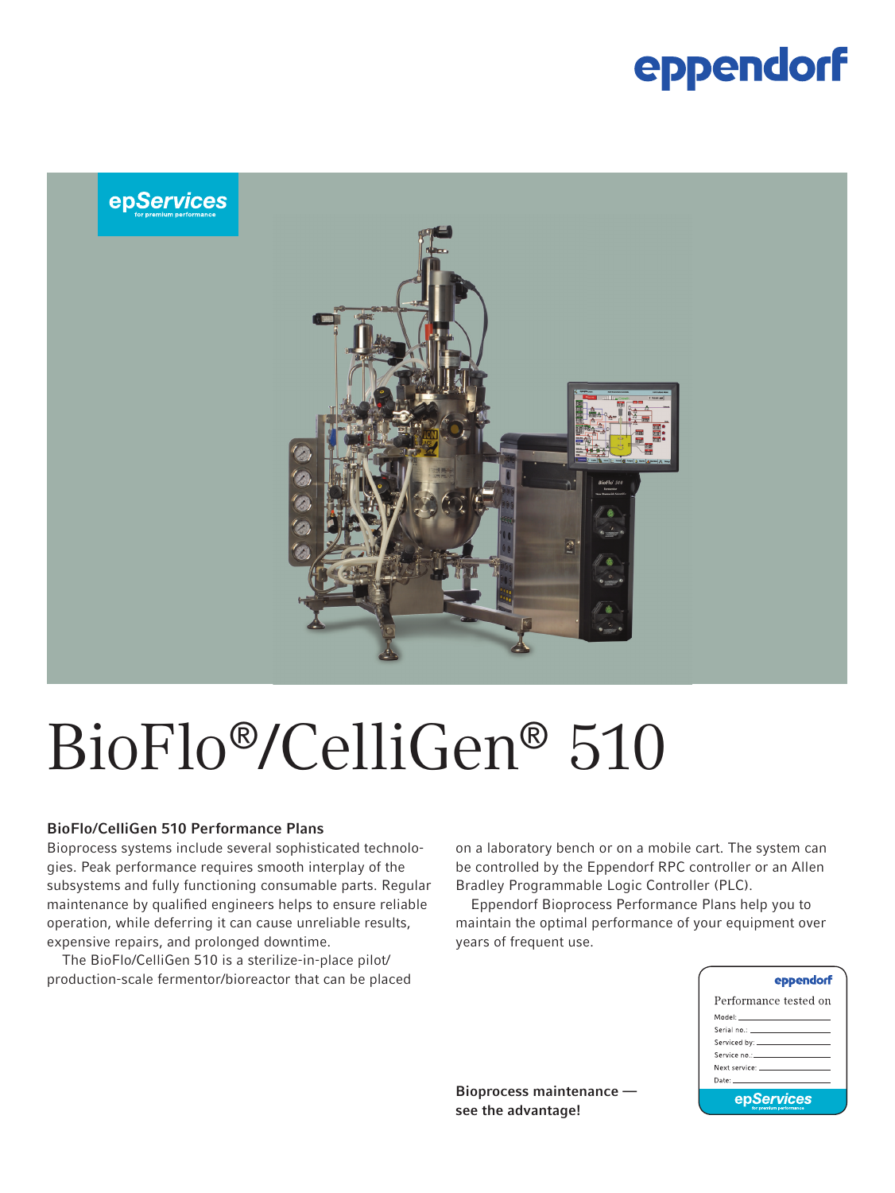## eppendorf



# BioFlo®/CelliGen® 510

### BioFlo/CelliGen 510 Performance Plans

Bioprocess systems include several sophisticated technologies. Peak performance requires smooth interplay of the subsystems and fully functioning consumable parts. Regular maintenance by qualified engineers helps to ensure reliable operation, while deferring it can cause unreliable results, expensive repairs, and prolonged downtime.

The BioFlo/CelliGen 510 is a sterilize-in-place pilot/ production-scale fermentor/bioreactor that can be placed on a laboratory bench or on a mobile cart. The system can be controlled by the Eppendorf RPC controller or an Allen Bradley Programmable Logic Controller (PLC).

Eppendorf Bioprocess Performance Plans help you to maintain the optimal performance of your equipment over years of frequent use.

| eppendorf                                                                                                                                                                                                                      |
|--------------------------------------------------------------------------------------------------------------------------------------------------------------------------------------------------------------------------------|
| Performance tested on                                                                                                                                                                                                          |
| Model: _____________________                                                                                                                                                                                                   |
|                                                                                                                                                                                                                                |
|                                                                                                                                                                                                                                |
| Service no.: The contract of the contract of the contract of the contract of the contract of the contract of the                                                                                                               |
| Next service: The contract of the contract of the contract of the contract of the contract of the contract of the contract of the contract of the contract of the contract of the contract of the contract of the contract of  |
| Date: the contract of the contract of the contract of the contract of the contract of the contract of the contract of the contract of the contract of the contract of the contract of the contract of the contract of the cont |
| epServices                                                                                                                                                                                                                     |

Bioprocess maintenance see the advantage!